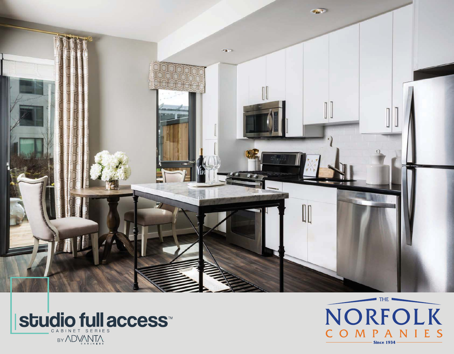



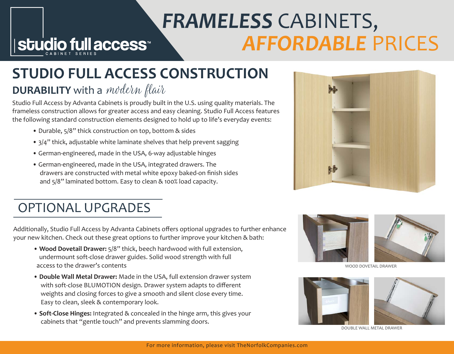# *FRAMELESS* CABINETS, *AFFORDABLE* PRICES

## **STUDIO FULL ACCESS CONSTRUCTION**

### **DURABILITY** with a *modern flair*

**|studio full access™** 

Studio Full Access by Advanta Cabinets is proudly built in the U.S. using quality materials. The frameless construction allows for greater access and easy cleaning. Studio Full Access features the following standard construction elements designed to hold up to life's everyday events:

- Durable, 5/8" thick construction on top, bottom & sides
- 3/4" thick, adjustable white laminate shelves that help prevent sagging
- German-engineered, made in the USA, 6-way adjustable hinges
- German-engineered, made in the USA, integrated drawers. The drawers are constructed with metal white epoxy baked-on finish sides and 5/8" laminated bottom. Easy to clean & 100% load capacity.



### OPTIONAL UPGRADES

Additionally, Studio Full Access by Advanta Cabinets offers optional upgrades to further enhance your new kitchen. Check out these great options to further improve your kitchen & bath:

- ï **Wood Dovetail Drawer:** 5/8" thick, beech hardwood with full extension, undermount soft-close drawer guides. Solid wood strength with full access to the drawer's contents
- ï **Double Wall Metal Drawer:** Made in the USA, full extension drawer system with soft-close BLUMOTION design. Drawer system adapts to different weights and closing forces to give a smooth and silent close every time. Easy to clean, sleek & contemporary look.
- **Soft-Close Hinges:** Integrated & concealed in the hinge arm, this gives your cabinets that "gentle touch" and prevents slamming doors.



WOOD DOVETAIL DRAWER





DOUBLE WALL METAL DRAWER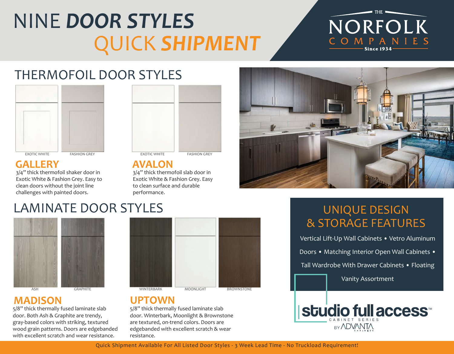# NINE *DOOR STYLES* QUICK *SHIPMENT*



### THERMOFOIL DOOR STYLES



3/4" thick thermofoil shaker door in Exotic White & Fashion Grey. Easy to clean doors without the joint line challenges with painted doors.



**GALLERY AVALON** 3/4" thick thermofoil slab door in Exotic White & Fashion Grey. Easy to clean surface and durable performance.



### LAMINATE DOOR STYLES



### **MADISON UPTOWN**

5/8" thick thermally fused laminate slab door. Both Ash & Graphite are trendy, gray-based colors with striking, textured wood grain patterns. Doors are edgebanded with excellent scratch and wear resistance.



5/8" thick thermally fused laminate slab door. Winterbark, Moonlight & Brownstone are textured, on-trend colors. Doors are edgebanded with excellent scratch & wear resistance.

### UNIQUE DESIGN & STORAGE FEATURES

Vertical Lift-Up Wall Cabinets • Vetro Aluminum

Doors • Matching Interior Open Wall Cabinets •

Tall Wardrobe With Drawer Cabinets • Floating

Vanity Assortment